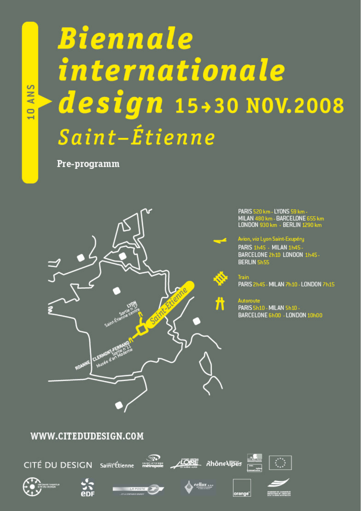# **Biennale** internationale design 15+30 NOV.2008 Saint-Étienne

Pre-programm

**S** 

 $\overline{z}$  $\mathbf{d}$  $\Box$  $\overline{\phantom{0}}$ 



PARIS 520 km - LYONS 59 km -<br>MILAN 480 km - BARCELONE 655 km<br>LONDON 930 km - BERLIN 1290 km

Avion, via Lyon Saint-Exupéry

PARIS 1h45 - MILAN 1h45 BARCELONE 2h10 LONDON 1h45-**BERLIN Sh55** 

Train PARIS 2h45 - MILAN 7h10 - LONDON 7h15

Autoroute PARIS 5h10 - MILAN 5h10 -BARCELONE 6h00 - LONDON 10h00

#### WWW.CITEDUDESIGN.COM















orange<sup>-</sup>

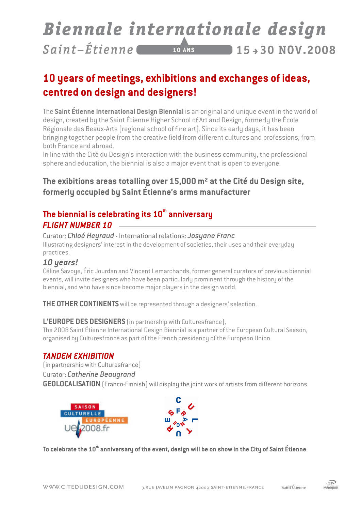#### Biennale internationale design Saint-Étienne  $10$  ANS  $15 - 30 N0V, 2008$

# **10 years of meetings, exhibitions and exchanges of ideas, centred on design and designers!**

The **Saint Étienne International Design Biennial** is an original and unique event in the world of design, created by the Saint Étienne Higher School of Art and Design, formerly the École Régionale des Beaux-Arts (regional school of fine art). Since its early days, it has been bringing together people from the creative field from different cultures and professions, from both France and abroad.

In line with the Cité du Design's interaction with the business community, the professional sphere and education, the biennial is also a major event that is open to everyone.

#### **The exibitions areas totalling over 15,000 m² at the Cité du Design site, formerly occupied by Saint Étienne's arms manufacturer**

#### **The biennial is celebrating its 10th anniversary FLIGHT NUMBER 10**

Curator: *Chloé Heyraud* - International relations: *Josyane Franc* Illustrating designers' interest in the development of societies, their uses and their everyday practices.

#### *10 years!*

Céline Savoye, Éric Jourdan and Vincent Lemarchands, former general curators of previous biennial events, will invite designers who have been particularly prominent through the history of the biennial, and who have since become major players in the design world.

**THE OTHER CONTINENTS** will be represented through a designers' selection.

#### **L'EUROPE DES DESIGNERS** (in partnership with Culturesfrance),

The 2008 Saint Étienne International Design Biennial is a partner of the European Cultural Season, organised by Culturesfrance as part of the French presidency of the European Union.

#### *TANDEM EXHIBITION TANDEM EXHIBITION*

(in partnership with Culturesfrance)

Curator: *Catherine Beaugrand*

**GEOLOCALISATION** (Franco-Finnish) will display the joint work of artists from different horizons.





**To celebrate the 10th anniversary of the event, design will be on show in the City of Saint Étienne**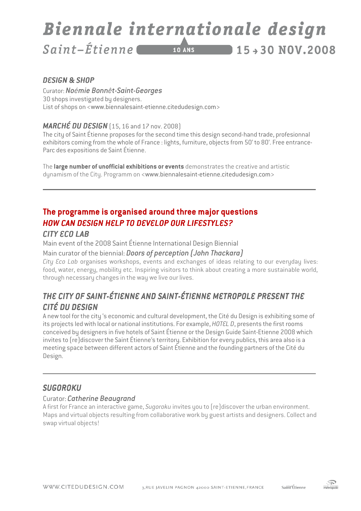#### Biennale internationale design Saint-Étienne  $15 + 30$  NOV.2008  $10$  ANS

#### *DESIGN & SHOP*

Curator: *Noémie Bonnêt-Saint-Georges*  30 shops investigated by designers. List of shops on <www.biennalesaint-etienne.citedudesign.com>

#### **MARCHÉ DU DESIGN** (15, 16 and 17 nov. 2008)

The city of Saint Étienne proposes for the second time this design second-hand trade, profesionnal exhibitors coming from the whole of France : lights, furniture, objects from 50' to 80'. Free entrance-Parc des expositions de Saint Étienne.

The **large number of unofficial exhibitions or events** demonstrates the creative and artistic dynamism of the City. Programm on <www.biennalesaint-etienne.citedudesign.com>

### **The programme is organised around three major questions**  *HOW CAN DESIGN HELP TO DEVELOP OUR LIFES DEVELOP OUR LIFESTYLES?*

#### *CITY ECO LAB CITY ECO*

Main event of the 2008 Saint Étienne International Design Biennial

#### Main curator of the biennial: *Doors of perception (John Thackara)*

*City Eco Lab* organises workshops, events and exchanges of ideas relating to our everyday lives: food, water, energy, mobility etc. Inspiring visitors to think about creating a more sustainable world, through necessary changes in the way we live our lives.

#### *THE CITY OF CITY OFSAINT-ÉTIENNE ANDSAINT-ÉTIENNE METROPOLE PRESENT THE PRESENT THE CITÉ DU DESIGN DESIGN É DESIGN*

A new tool for the city 's economic and cultural development, the Cité du Design is exhibiting some of its projects led with local or national institutions. For example, *HOTEL D*, presents the first rooms conceived by designers in five hotels of Saint Étienne or the Design Guide Saint-Etienne 2008 which invites to (re)discover the Saint Étienne's territory. Exhibition for every publics, this area also is a meeting space between different actors of Saint Étienne and the founding partners of the Cité du Design.

#### *SUGOROKU*

#### Curator: *Catherine Beaugrand*

A first for France an interactive game, *Sugoroku* invites you to (re)discover the urban environment. Maps and virtual objects resulting from collaborative work by guest artists and designers. Collect and swap virtual objects!

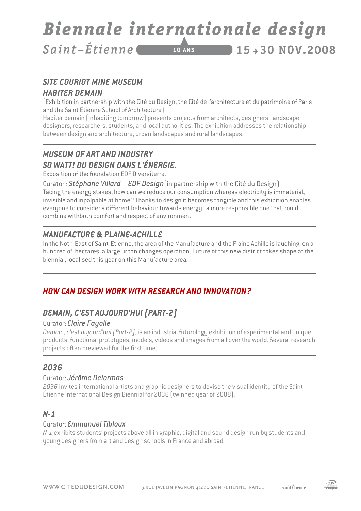#### Biennale internationale design  $Saint - Étienne$  $15+30 N0V.2008$  $10$  ANS

#### **SITE COURIOT MINE MUSEUM** *HABITER DEMAIN*

(Exhibition in partnership with the Cité du Design, the Cité de l'architecture et du patrimoine of Paris and the Saint Étienne School of Architecture)

Habiter demain (inhabiting tomorrow) presents projects from architects, designers, landscape designers, researchers, students, and local authorities. The exhibition addresses the relationship between design and architecture, urban landscapes and rural landscapes.

#### **MUSEUM OF ART AND INDUSTRY** *SO WATT! DU DESIGN DANS L'ÉNERGIE. SO WATT! DESIGN L'ÉNERGIE. ANS L'ÉNERGIE.*

Exposition of the foundation EDF Diversiterre.

Curator : *Stéphane Villard – EDF Design*(in partnership with the Cité du Design) Tacing the energy stakes, how can we reduce our consumption whereas electricity is immaterial, invisible and inpalpable at home? Thanks to design it becomes tangible and this exhibition enables everyone to consider a different behaviour towards energy : a more responsible one that could combine withboth comfort and respect of environment.

#### **MANUFACTURE & PLAINE-ACHILLE**

In the Noth-East of Saint-Etienne, the area of the Manufacture and the Plaine Achille is lauching, on a hundred of hectares, a large urban changes operation. Future of this new district takes shape at the biennial, localised this year on this Manufacture area.

#### *HOW CAN DESIGN WORK WITH RESEARCH AND IN WORK RESEARCH AND INNOVATION? NOVATION? NOVATION?*

#### *DEMAIN, C'EST AUJOURD'HUI [PART-2]*

#### Curator: *Claire Fayolle*

*Demain, c'est aujourd'hui [Part-2],* is an industrial futurology exhibition of experimental and unique products, functional prototypes, models, videos and images from all over the world. Several research projects often previewed for the first time.

#### *2036*

#### Curator: *Jérôme Delormas*

*2036* invites international artists and graphic designers to devise the visual identity of the Saint Étienne International Design Biennial for 2036 (twinned year of 2008).

#### *N-1*

#### Curator: *Emmanuel Tibloux*

*N-1* exhibits students' projects above all in graphic, digital and sound design run by students and young designers from art and design schools in France and abroad*.* 

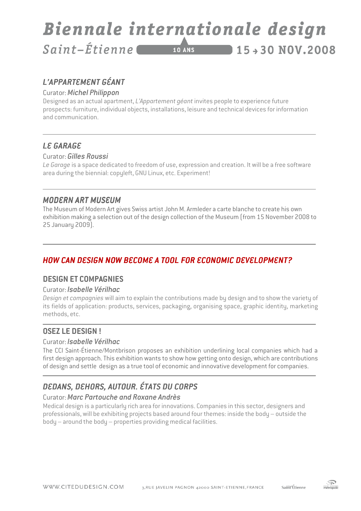#### Biennale internationale design Saint-Étienne  $15+30 N0V.2008$  $10$  ANS

## *L'APPARTEMENT GÉANT GÉANT*

#### Curator:*Michel Philippon*

Designed as an actual apartment, *L'Appartement géant* invites people to experience future prospects: furniture, individual objects, installations, leisure and technical devices for information and communication.

#### **LE GARAGE**

#### Curator: *Gilles Roussi*

*Le Garage* is a space dedicated to freedom of use, expression and creation. It will be a free software area during the biennial: copyleft, GNU Linux, etc. Experiment!

#### **MODERN ART MUSEUM**

The Museum of Modern Art gives Swiss artist John M. Armleder a carte blanche to create his own exhibition making a selection out of the design collection of the Museum (from 15 November 2008 to 25 January 2009).

#### **HOW CAN DESIGN NOW BECOME A TOOL FOR ECONOMIC DEVELOPMENT?**

#### **DESIGN ET COMPAGNIES**

#### Curator: *Isabelle Vérilhac*

*Design et compagnies* will aim to explain the contributions made by design and to show the variety of its fields of application: products, services, packaging, organising space, graphic identity, marketing methods, etc.

#### **OSEZ LE DESIGN !**

#### Curator: *Isabelle Vérilhac*

The CCI Saint-Étienne/Montbrison proposes an exhibition underlining local companies which had a first design approach. This exhibition wants to show how getting onto design, which are contributions of design and settle design as a true tool of economic and innovative development for companies.

#### **DEDANS, DEHORS, AUTOUR, ÉTATS DU CORPS**

#### Curator:*Marc Partouche and Roxane Andrès*

Medical design is a particularly rich area for innovations. Companies in this sector, designers and professionals, will be exhibiting projects based around four themes: inside the body – outside the body – around the body – properties providing medical facilities.

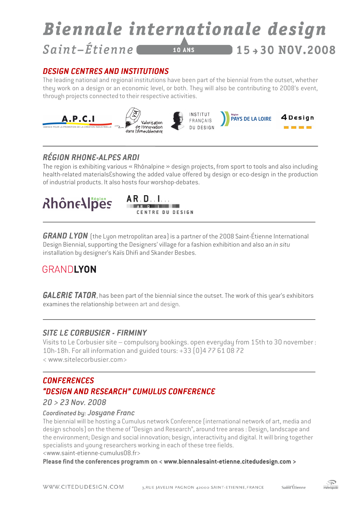#### Biennale internationale design Saint-Étienne  $15 + 30$  NOV.2008 **10 ANS**

#### *DESIGN CENTRES AND IN CENTRES AND INESIGN AND INSTITUTIONS STITUTIONS STITUTIONS*

The leading national and regional institutions have been part of the biennial from the outset, whether they work on a design or an economic level, or both. They will also be contributing to 2008's event, through projects connected to their respective activities.



#### *RÉGION RHONE- RHONE-ALPES ARDI ALPES ARDI*

The region is exhibiting various « Rhônalpine » design projects, from sport to tools and also including health-related materials Eshowing the added value offered by design or eco-design in the production of industrial products. It also hosts four worshop-debates.

# **RhôneAlpes**



*GRAND LYON* (the Lyon metropolitan area) is a partner of the 2008 Saint-Étienne International Design Biennial, supporting the Designers' village for a fashion exhibition and also an *in situ* installation by designer's Kaïs Dhifi and Skander Besbes.

# GRANDLYON

*GALERIE TATOR*, has been part of the biennial since the outset. The work of this year's exhibitors examines the relationship between art and design.

#### **SITE LE CORBUSIER - FIRMINY**

Visits to Le Corbusier site – compulsory bookings. open everyday from 15th to 30 november : 10h-18h. For all information and guided tours: +33 (0)4 77 61 08 72 < www.sitelecorbusier.com>

#### *CONFERENCES "DESIGN AND RESEARCH" CUMULUS CONFERENCE AND CUMULUS " CONFERENCE*

#### *20 > 23 Nov. 2008*

#### *Coordinated by: Josyane Franc*

The biennial will be hosting a Cumulus network Conference (international network of art, media and design schools) on the theme of "Design and Research", around tree areas : Design, landscape and the environment; Design and social innovation; besign, interactivity and digital. It will bring together specialists and young researchers working in each of these tree fields. <www.saint-etienne-cumulus08.fr>

**Please find the conferences programm on < www.biennalesaint-etienne.citedudesign.com >**